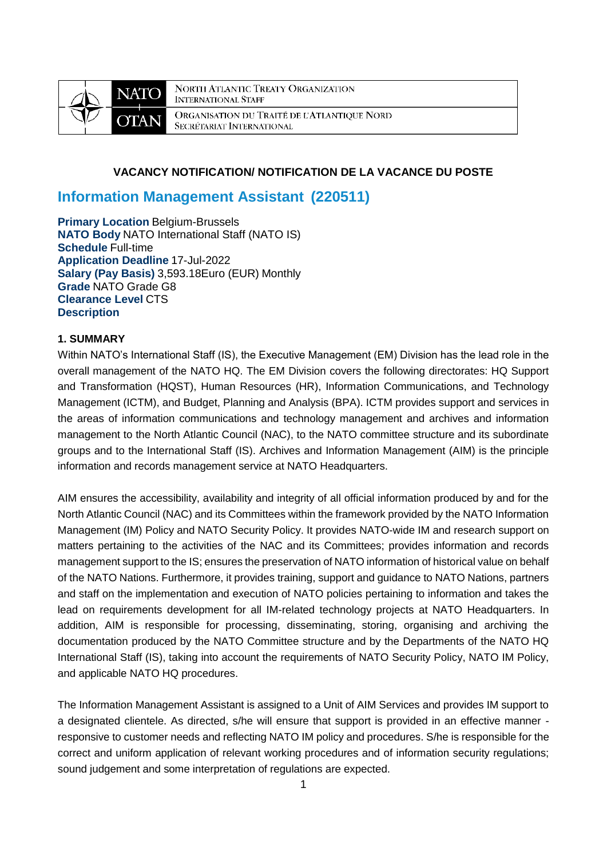

**NORTH ATLANTIC TREATY ORGANIZATION INTERNATIONAL STAFF** ORGANISATION DU TRAITÉ DE L'ATLANTIQUE NORD SECRÉTARIAT INTERNATIONAL

# **VACANCY NOTIFICATION/ NOTIFICATION DE LA VACANCE DU POSTE**

# **Information Management Assistant (220511)**

**Primary Location** Belgium-Brussels **NATO Body** NATO International Staff (NATO IS) **Schedule** Full-time **Application Deadline** 17-Jul-2022 **Salary (Pay Basis)** 3,593.18Euro (EUR) Monthly **Grade** NATO Grade G8 **Clearance Level** CTS **Description**

# **1. SUMMARY**

Within NATO's International Staff (IS), the Executive Management (EM) Division has the lead role in the overall management of the NATO HQ. The EM Division covers the following directorates: HQ Support and Transformation (HQST), Human Resources (HR), Information Communications, and Technology Management (ICTM), and Budget, Planning and Analysis (BPA). ICTM provides support and services in the areas of information communications and technology management and archives and information management to the North Atlantic Council (NAC), to the NATO committee structure and its subordinate groups and to the International Staff (IS). Archives and Information Management (AIM) is the principle information and records management service at NATO Headquarters.

AIM ensures the accessibility, availability and integrity of all official information produced by and for the North Atlantic Council (NAC) and its Committees within the framework provided by the NATO Information Management (IM) Policy and NATO Security Policy. It provides NATO-wide IM and research support on matters pertaining to the activities of the NAC and its Committees; provides information and records management support to the IS; ensures the preservation of NATO information of historical value on behalf of the NATO Nations. Furthermore, it provides training, support and guidance to NATO Nations, partners and staff on the implementation and execution of NATO policies pertaining to information and takes the lead on requirements development for all IM-related technology projects at NATO Headquarters. In addition, AIM is responsible for processing, disseminating, storing, organising and archiving the documentation produced by the NATO Committee structure and by the Departments of the NATO HQ International Staff (IS), taking into account the requirements of NATO Security Policy, NATO IM Policy, and applicable NATO HQ procedures.

The Information Management Assistant is assigned to a Unit of AIM Services and provides IM support to a designated clientele. As directed, s/he will ensure that support is provided in an effective manner responsive to customer needs and reflecting NATO IM policy and procedures. S/he is responsible for the correct and uniform application of relevant working procedures and of information security regulations; sound judgement and some interpretation of regulations are expected.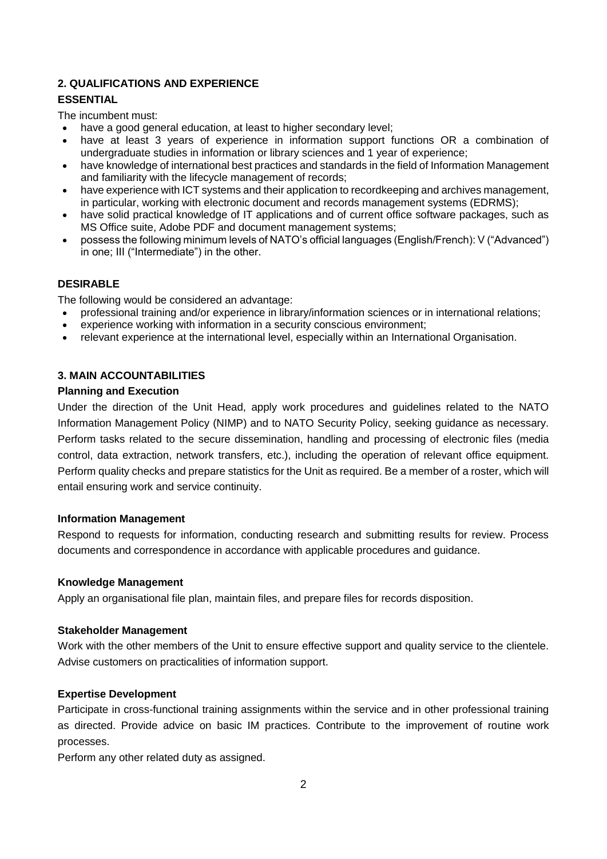# **2. QUALIFICATIONS AND EXPERIENCE**

# **ESSENTIAL**

The incumbent must:

- have a good general education, at least to higher secondary level;
- have at least 3 years of experience in information support functions OR a combination of undergraduate studies in information or library sciences and 1 year of experience;
- have knowledge of international best practices and standards in the field of Information Management and familiarity with the lifecycle management of records;
- have experience with ICT systems and their application to recordkeeping and archives management, in particular, working with electronic document and records management systems (EDRMS);
- have solid practical knowledge of IT applications and of current office software packages, such as MS Office suite, Adobe PDF and document management systems;
- possess the following minimum levels of NATO's official languages (English/French): V ("Advanced") in one; III ("Intermediate") in the other.

# **DESIRABLE**

The following would be considered an advantage:

- professional training and/or experience in library/information sciences or in international relations;
- experience working with information in a security conscious environment;
- relevant experience at the international level, especially within an International Organisation.

# **3. MAIN ACCOUNTABILITIES**

# **Planning and Execution**

Under the direction of the Unit Head, apply work procedures and guidelines related to the NATO Information Management Policy (NIMP) and to NATO Security Policy, seeking guidance as necessary. Perform tasks related to the secure dissemination, handling and processing of electronic files (media control, data extraction, network transfers, etc.), including the operation of relevant office equipment. Perform quality checks and prepare statistics for the Unit as required. Be a member of a roster, which will entail ensuring work and service continuity.

### **Information Management**

Respond to requests for information, conducting research and submitting results for review. Process documents and correspondence in accordance with applicable procedures and guidance.

### **Knowledge Management**

Apply an organisational file plan, maintain files, and prepare files for records disposition.

### **Stakeholder Management**

Work with the other members of the Unit to ensure effective support and quality service to the clientele. Advise customers on practicalities of information support.

# **Expertise Development**

Participate in cross-functional training assignments within the service and in other professional training as directed. Provide advice on basic IM practices. Contribute to the improvement of routine work processes.

Perform any other related duty as assigned.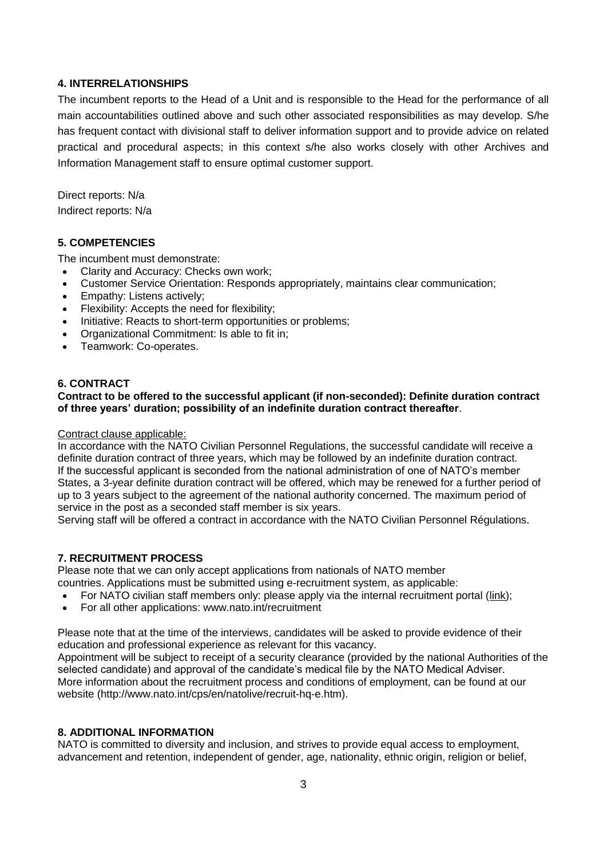# **4. INTERRELATIONSHIPS**

The incumbent reports to the Head of a Unit and is responsible to the Head for the performance of all main accountabilities outlined above and such other associated responsibilities as may develop. S/he has frequent contact with divisional staff to deliver information support and to provide advice on related practical and procedural aspects; in this context s/he also works closely with other Archives and Information Management staff to ensure optimal customer support.

Direct reports: N/a Indirect reports: N/a

# **5. COMPETENCIES**

The incumbent must demonstrate:

- Clarity and Accuracy: Checks own work:
- Customer Service Orientation: Responds appropriately, maintains clear communication;
- Empathy: Listens actively;
- Flexibility: Accepts the need for flexibility;
- Initiative: Reacts to short-term opportunities or problems;
- Organizational Commitment: Is able to fit in;
- Teamwork: Co-operates.

### **6. CONTRACT**

### **Contract to be offered to the successful applicant (if non-seconded): Definite duration contract of three years' duration; possibility of an indefinite duration contract thereafter**.

#### Contract clause applicable:

In accordance with the NATO Civilian Personnel Regulations, the successful candidate will receive a definite duration contract of three years, which may be followed by an indefinite duration contract. If the successful applicant is seconded from the national administration of one of NATO's member States, a 3-year definite duration contract will be offered, which may be renewed for a further period of up to 3 years subject to the agreement of the national authority concerned. The maximum period of service in the post as a seconded staff member is six years.

Serving staff will be offered a contract in accordance with the NATO Civilian Personnel Régulations.

### **7. RECRUITMENT PROCESS**

Please note that we can only accept applications from nationals of NATO member countries. Applications must be submitted using e-recruitment system, as applicable:

- For NATO civilian staff members only: please apply via the internal recruitment portal [\(link\)](https://nato.taleo.net/careersection/1/jobsearch.ftl?lang=en);
- For all other applications: www.nato.int/recruitment

Please note that at the time of the interviews, candidates will be asked to provide evidence of their education and professional experience as relevant for this vacancy.

Appointment will be subject to receipt of a security clearance (provided by the national Authorities of the selected candidate) and approval of the candidate's medical file by the NATO Medical Adviser. More information about the recruitment process and conditions of employment, can be found at our website (http://www.nato.int/cps/en/natolive/recruit-hq-e.htm).

### **8. ADDITIONAL INFORMATION**

NATO is committed to diversity and inclusion, and strives to provide equal access to employment. advancement and retention, independent of gender, age, nationality, ethnic origin, religion or belief,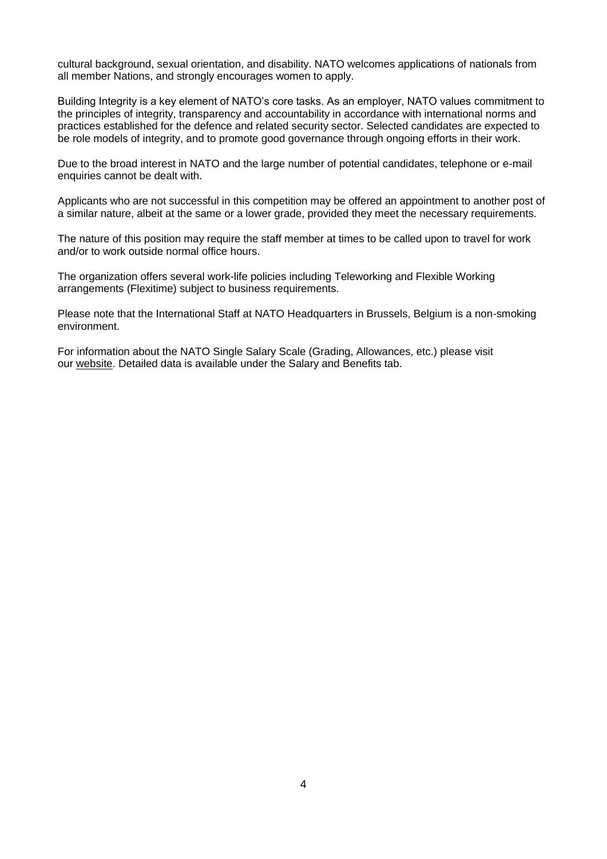cultural background, sexual orientation, and disability. NATO welcomes applications of nationals from all member Nations, and strongly encourages women to apply.

Building Integrity is a key element of NATO's core tasks. As an employer, NATO values commitment to the principles of integrity, transparency and accountability in accordance with international norms and practices established for the defence and related security sector. Selected candidates are expected to be role models of integrity, and to promote good governance through ongoing efforts in their work.

Due to the broad interest in NATO and the large number of potential candidates, telephone or e-mail enquiries cannot be dealt with.

Applicants who are not successful in this competition may be offered an appointment to another post of a similar nature, albeit at the same or a lower grade, provided they meet the necessary requirements.

The nature of this position may require the staff member at times to be called upon to travel for work and/or to work outside normal office hours.

The organization offers several work-life policies including Teleworking and Flexible Working arrangements (Flexitime) subject to business requirements.

Please note that the International Staff at NATO Headquarters in Brussels, Belgium is a non-smoking environment.

For information about the NATO Single Salary Scale (Grading, Allowances, etc.) please visit our [website.](https://www.nato.int/cps/en/natolive/86790.htm) Detailed data is available under the Salary and Benefits tab.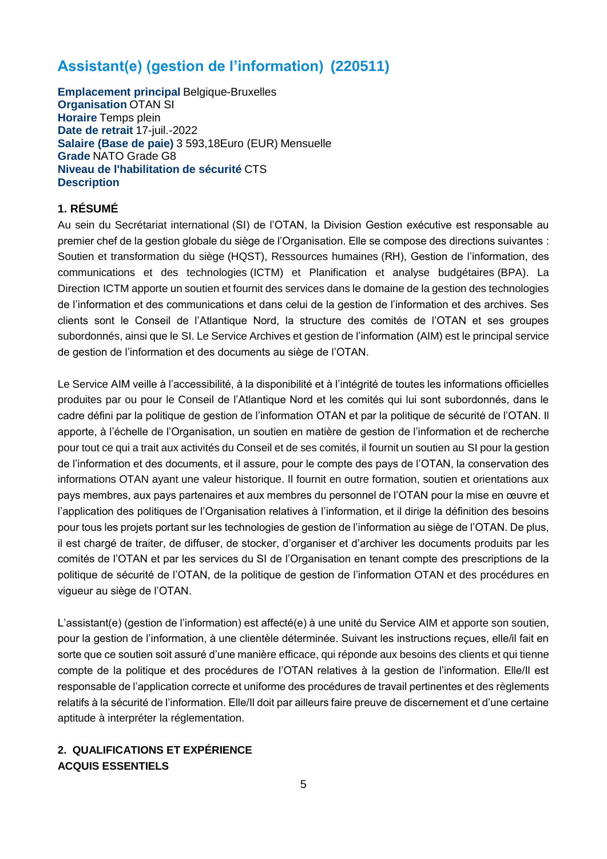# **Assistant(e) (gestion de l'information) (220511)**

**Emplacement principal** Belgique-Bruxelles **Organisation** OTAN SI **Horaire** Temps plein **Date de retrait** 17-juil.-2022 **Salaire (Base de paie)** 3 593,18Euro (EUR) Mensuelle **Grade** NATO Grade G8 **Niveau de l'habilitation de sécurité** CTS **Description**

# **1. RÉSUMÉ**

Au sein du Secrétariat international (SI) de l'OTAN, la Division Gestion exécutive est responsable au premier chef de la gestion globale du siège de l'Organisation. Elle se compose des directions suivantes : Soutien et transformation du siège (HQST), Ressources humaines (RH), Gestion de l'information, des communications et des technologies (ICTM) et Planification et analyse budgétaires (BPA). La Direction ICTM apporte un soutien et fournit des services dans le domaine de la gestion des technologies de l'information et des communications et dans celui de la gestion de l'information et des archives. Ses clients sont le Conseil de l'Atlantique Nord, la structure des comités de l'OTAN et ses groupes subordonnés, ainsi que le SI. Le Service Archives et gestion de l'information (AIM) est le principal service de gestion de l'information et des documents au siège de l'OTAN.

Le Service AIM veille à l'accessibilité, à la disponibilité et à l'intégrité de toutes les informations officielles produites par ou pour le Conseil de l'Atlantique Nord et les comités qui lui sont subordonnés, dans le cadre défini par la politique de gestion de l'information OTAN et par la politique de sécurité de l'OTAN. Il apporte, à l'échelle de l'Organisation, un soutien en matière de gestion de l'information et de recherche pour tout ce qui a trait aux activités du Conseil et de ses comités, il fournit un soutien au SI pour la gestion de l'information et des documents, et il assure, pour le compte des pays de l'OTAN, la conservation des informations OTAN ayant une valeur historique. Il fournit en outre formation, soutien et orientations aux pays membres, aux pays partenaires et aux membres du personnel de l'OTAN pour la mise en œuvre et l'application des politiques de l'Organisation relatives à l'information, et il dirige la définition des besoins pour tous les projets portant sur les technologies de gestion de l'information au siège de l'OTAN. De plus, il est chargé de traiter, de diffuser, de stocker, d'organiser et d'archiver les documents produits par les comités de l'OTAN et par les services du SI de l'Organisation en tenant compte des prescriptions de la politique de sécurité de l'OTAN, de la politique de gestion de l'information OTAN et des procédures en vigueur au siège de l'OTAN.

L'assistant(e) (gestion de l'information) est affecté(e) à une unité du Service AIM et apporte son soutien, pour la gestion de l'information, à une clientèle déterminée. Suivant les instructions reçues, elle/il fait en sorte que ce soutien soit assuré d'une manière efficace, qui réponde aux besoins des clients et qui tienne compte de la politique et des procédures de l'OTAN relatives à la gestion de l'information. Elle/Il est responsable de l'application correcte et uniforme des procédures de travail pertinentes et des règlements relatifs à la sécurité de l'information. Elle/Il doit par ailleurs faire preuve de discernement et d'une certaine aptitude à interpréter la réglementation.

# **2. QUALIFICATIONS ET EXPÉRIENCE ACQUIS ESSENTIELS**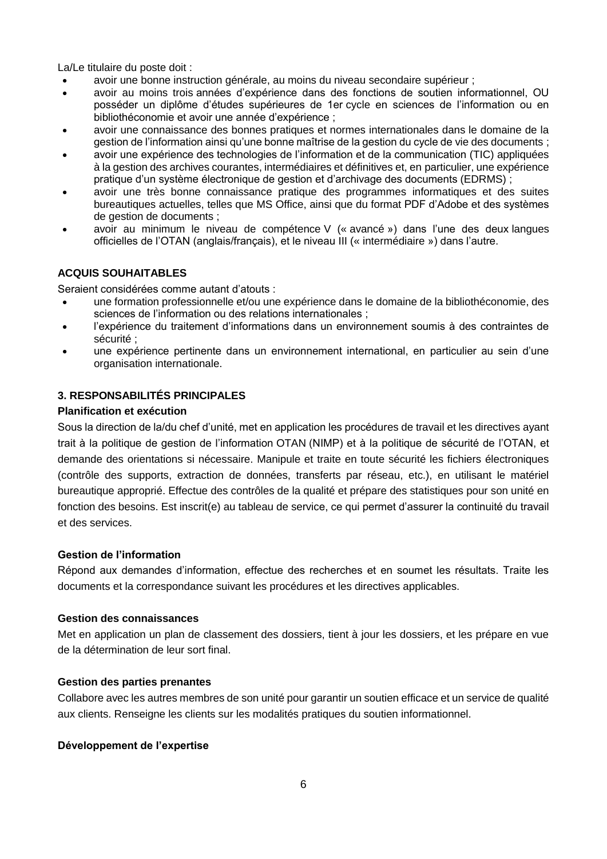La/Le titulaire du poste doit :

- avoir une bonne instruction générale, au moins du niveau secondaire supérieur ;
- avoir au moins trois années d'expérience dans des fonctions de soutien informationnel, OU posséder un diplôme d'études supérieures de 1er cycle en sciences de l'information ou en bibliothéconomie et avoir une année d'expérience ;
- avoir une connaissance des bonnes pratiques et normes internationales dans le domaine de la gestion de l'information ainsi qu'une bonne maîtrise de la gestion du cycle de vie des documents ;
- avoir une expérience des technologies de l'information et de la communication (TIC) appliquées à la gestion des archives courantes, intermédiaires et définitives et, en particulier, une expérience pratique d'un système électronique de gestion et d'archivage des documents (EDRMS) ;
- avoir une très bonne connaissance pratique des programmes informatiques et des suites bureautiques actuelles, telles que MS Office, ainsi que du format PDF d'Adobe et des systèmes de gestion de documents ;
- avoir au minimum le niveau de compétence V (« avancé ») dans l'une des deux langues officielles de l'OTAN (anglais/français), et le niveau III (« intermédiaire ») dans l'autre.

# **ACQUIS SOUHAITABLES**

Seraient considérées comme autant d'atouts :

- une formation professionnelle et/ou une expérience dans le domaine de la bibliothéconomie, des sciences de l'information ou des relations internationales ;
- l'expérience du traitement d'informations dans un environnement soumis à des contraintes de sécurité ;
- une expérience pertinente dans un environnement international, en particulier au sein d'une organisation internationale.

# **3. RESPONSABILITÉS PRINCIPALES**

### **Planification et exécution**

Sous la direction de la/du chef d'unité, met en application les procédures de travail et les directives ayant trait à la politique de gestion de l'information OTAN (NIMP) et à la politique de sécurité de l'OTAN, et demande des orientations si nécessaire. Manipule et traite en toute sécurité les fichiers électroniques (contrôle des supports, extraction de données, transferts par réseau, etc.), en utilisant le matériel bureautique approprié. Effectue des contrôles de la qualité et prépare des statistiques pour son unité en fonction des besoins. Est inscrit(e) au tableau de service, ce qui permet d'assurer la continuité du travail et des services.

### **Gestion de l'information**

Répond aux demandes d'information, effectue des recherches et en soumet les résultats. Traite les documents et la correspondance suivant les procédures et les directives applicables.

### **Gestion des connaissances**

Met en application un plan de classement des dossiers, tient à jour les dossiers, et les prépare en vue de la détermination de leur sort final.

### **Gestion des parties prenantes**

Collabore avec les autres membres de son unité pour garantir un soutien efficace et un service de qualité aux clients. Renseigne les clients sur les modalités pratiques du soutien informationnel.

### **Développement de l'expertise**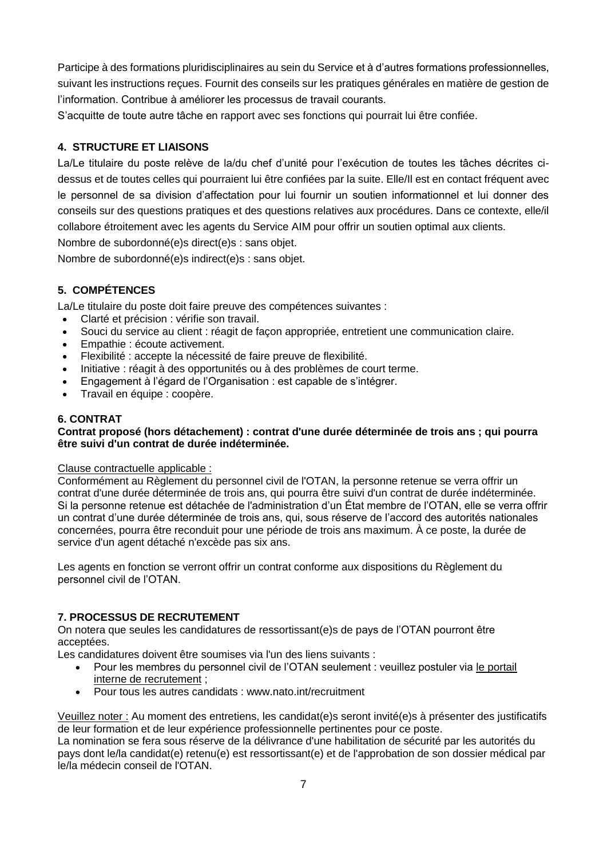Participe à des formations pluridisciplinaires au sein du Service et à d'autres formations professionnelles, suivant les instructions reçues. Fournit des conseils sur les pratiques générales en matière de gestion de l'information. Contribue à améliorer les processus de travail courants.

S'acquitte de toute autre tâche en rapport avec ses fonctions qui pourrait lui être confiée.

# **4. STRUCTURE ET LIAISONS**

La/Le titulaire du poste relève de la/du chef d'unité pour l'exécution de toutes les tâches décrites cidessus et de toutes celles qui pourraient lui être confiées par la suite. Elle/Il est en contact fréquent avec le personnel de sa division d'affectation pour lui fournir un soutien informationnel et lui donner des conseils sur des questions pratiques et des questions relatives aux procédures. Dans ce contexte, elle/il collabore étroitement avec les agents du Service AIM pour offrir un soutien optimal aux clients.

Nombre de subordonné(e)s direct(e)s : sans objet.

Nombre de subordonné(e)s indirect(e)s : sans objet.

# **5. COMPÉTENCES**

La/Le titulaire du poste doit faire preuve des compétences suivantes :

- Clarté et précision : vérifie son travail.
- Souci du service au client : réagit de façon appropriée, entretient une communication claire.
- Empathie : écoute activement.
- Flexibilité : accepte la nécessité de faire preuve de flexibilité.
- Initiative : réagit à des opportunités ou à des problèmes de court terme.
- Engagement à l'égard de l'Organisation : est capable de s'intégrer.
- Travail en équipe : coopère.

# **6. CONTRAT**

### **Contrat proposé (hors détachement) : contrat d'une durée déterminée de trois ans ; qui pourra être suivi d'un contrat de durée indéterminée.**

### Clause contractuelle applicable :

Conformément au Règlement du personnel civil de l'OTAN, la personne retenue se verra offrir un contrat d'une durée déterminée de trois ans, qui pourra être suivi d'un contrat de durée indéterminée. Si la personne retenue est détachée de l'administration d'un État membre de l'OTAN, elle se verra offrir un contrat d'une durée déterminée de trois ans, qui, sous réserve de l'accord des autorités nationales concernées, pourra être reconduit pour une période de trois ans maximum. À ce poste, la durée de service d'un agent détaché n'excède pas six ans.

Les agents en fonction se verront offrir un contrat conforme aux dispositions du Règlement du personnel civil de l'OTAN.

### **7. PROCESSUS DE RECRUTEMENT**

On notera que seules les candidatures de ressortissant(e)s de pays de l'OTAN pourront être acceptées.

Les candidatures doivent être soumises via l'un des liens suivants :

- Pour les membres du personnel civil de l'OTAN seulement : veuillez postuler via [le portail](http://nato.taleo.net/careersection/1/jobsearch.ftl?lang=en)  [interne de recrutement](http://nato.taleo.net/careersection/1/jobsearch.ftl?lang=en) ;
- Pour tous les autres candidats : www.nato.int/recruitment

Veuillez noter : Au moment des entretiens, les candidat(e)s seront invité(e)s à présenter des justificatifs de leur formation et de leur expérience professionnelle pertinentes pour ce poste.

La nomination se fera sous réserve de la délivrance d'une habilitation de sécurité par les autorités du pays dont le/la candidat(e) retenu(e) est ressortissant(e) et de l'approbation de son dossier médical par le/la médecin conseil de l'OTAN.